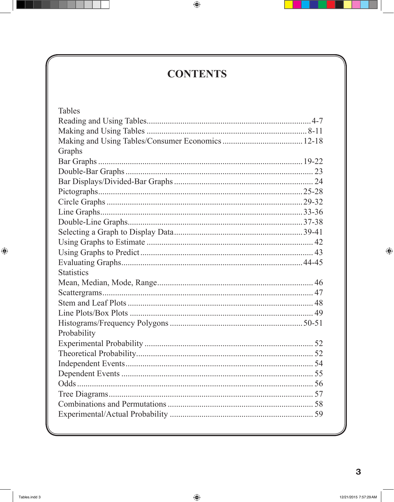## **CONTENTS**

| <b>Tables</b>     |  |
|-------------------|--|
|                   |  |
|                   |  |
|                   |  |
| Graphs            |  |
|                   |  |
|                   |  |
|                   |  |
|                   |  |
|                   |  |
|                   |  |
|                   |  |
|                   |  |
|                   |  |
|                   |  |
|                   |  |
| <b>Statistics</b> |  |
|                   |  |
|                   |  |
|                   |  |
|                   |  |
|                   |  |
|                   |  |
|                   |  |
| Probability       |  |
|                   |  |
|                   |  |
|                   |  |
|                   |  |
|                   |  |
|                   |  |
|                   |  |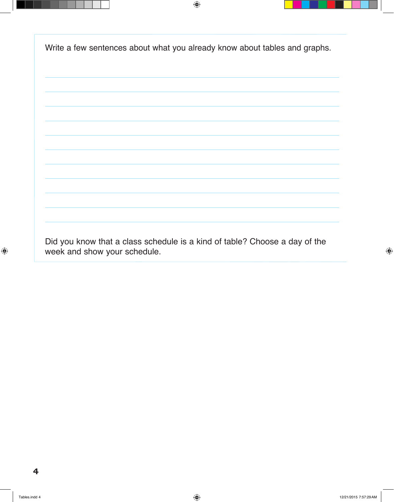Write a few sentences about what you already know about tables and graphs.



Did you know that a class schedule is a kind of table? Choose a day of the week and show your schedule.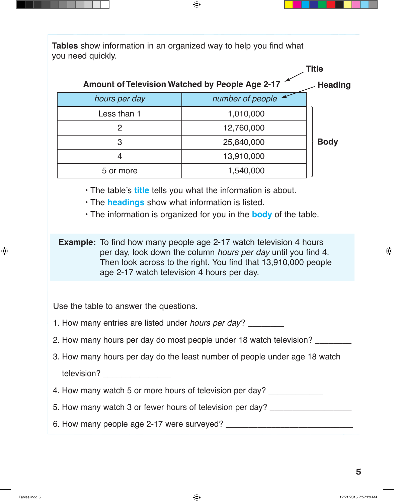**Tables** show information in an organized way to help you find what you need quickly.



• The table's **title** tells you what the information is about.

• The **headings** show what information is listed.

• The information is organized for you in the **body** of the table.

**Example:** To find how many people age 2-17 watch television 4 hours per day, look down the column hours per day until you find 4. Then look across to the right. You find that 13,910,000 people age 2-17 watch television 4 hours per day.

Use the table to answer the questions.

- 1. How many entries are listed under hours per day? \_\_\_\_\_\_\_\_
- 2. How many hours per day do most people under 18 watch television?
- 3. How many hours per day do the least number of people under age 18 watch television?
- 4. How many watch 5 or more hours of television per day?
- 5. How many watch 3 or fewer hours of television per day?
- 6. How many people age 2-17 were surveyed? \_\_\_\_\_\_\_\_\_\_\_\_\_\_\_\_\_\_\_\_\_\_\_\_\_\_\_\_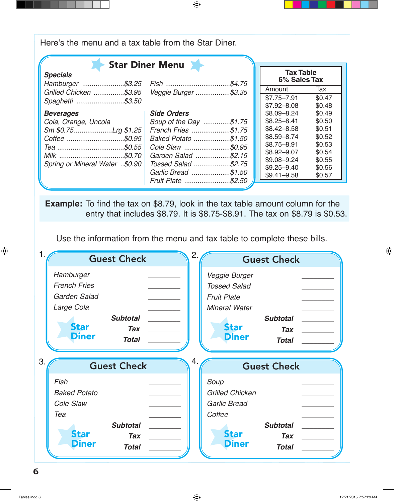Here's the menu and a tax table from the Star Diner.

|                                     | <b>Star Diner Menu</b>  |  |                |        |
|-------------------------------------|-------------------------|--|----------------|--------|
| <b>Specials</b><br>Hamburger \$3.25 | Fish \$4.75             |  |                |        |
| Grilled Chicken \$3.95              | Veggie Burger \$3.35    |  | Amount         | Tax    |
| Spaghetti \$3.50                    |                         |  | $$7.75 - 7.91$ | \$0.47 |
|                                     |                         |  | $$7.92 - 8.08$ | \$0.48 |
| <b>Beverages</b>                    | <b>Side Orders</b>      |  | \$8.09-8.24    | \$0.49 |
| Cola, Orange, Uncola                | Soup of the Day \$1.75  |  | $$8.25 - 8.41$ | \$0.50 |
| Sm \$0.75Lrg \$1.25                 | French Fries \$1.75     |  | $$8.42 - 8.58$ | \$0.51 |
| Coffee \$0.95                       | Baked Potato<br>\$1.50. |  | $$8.59 - 8.74$ | \$0.52 |
|                                     |                         |  | $$8.75 - 8.91$ | \$0.53 |
|                                     | Garden Salad<br>.\$2.15 |  | \$8.92-9.07    | \$0.54 |
| Spring or Mineral Water \$0.90      | Tossed Salad \$2.75     |  | \$9.08-9.24    | \$0.55 |
|                                     | Garlic Bread \$1.50     |  | $$9.25 - 9.40$ | \$0.56 |
|                                     | Fruit Plate \$2.50      |  | $$9.41 - 9.58$ | \$0.57 |
|                                     |                         |  |                |        |

**Example:** To find the tax on \$8.79, look in the tax table amount column for the entry that includes \$8.79. It is \$8.75-\$8.91. The tax on \$8.79 is \$0.53.

Use the information from the menu and tax table to complete these bills.

|                                                                                               | <b>Guest Check</b>                            | 2.<br><b>Guest Check</b>                                                                                                                                           |  |  |
|-----------------------------------------------------------------------------------------------|-----------------------------------------------|--------------------------------------------------------------------------------------------------------------------------------------------------------------------|--|--|
| Hamburger<br><b>French Fries</b><br>Garden Salad<br>Large Cola<br><b>Star</b><br><b>Diner</b> | <b>Subtotal</b><br><b>Tax</b><br><b>Total</b> | Veggie Burger<br><b>Tossed Salad</b><br><b>Fruit Plate</b><br><b>Mineral Water</b><br><b>Subtotal</b><br><b>Star</b><br><b>Tax</b><br><b>Diner</b><br><b>Total</b> |  |  |
|                                                                                               |                                               | <b>Guest Check</b>                                                                                                                                                 |  |  |
| 3.                                                                                            | <b>Guest Check</b>                            | 4.                                                                                                                                                                 |  |  |